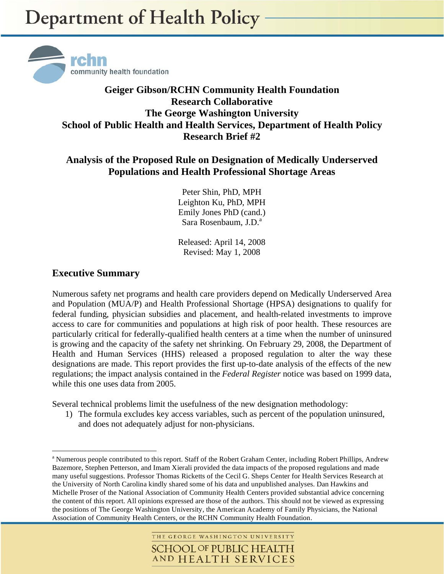

## **Geiger Gibson/RCHN Community Health Foundation Research Collaborative The George Washington University School of Public Health and Health Services, Department of Health Policy Research Brief #2**

### **Analysis of the Proposed Rule on Designation of Medically Underserved Populations and Health Professional Shortage Areas**

Peter Shin, PhD, MPH Leighton Ku, PhD, MPH Emily Jones PhD (cand.) Sara Rosenbaum, J.D.<sup>a</sup>

Released: April 14, 2008 Revised: May 1, 2008

#### **Executive Summary**

1

Numerous safety net programs and health care providers depend on Medically Underserved Area and Population (MUA/P) and Health Professional Shortage (HPSA) designations to qualify for federal funding, physician subsidies and placement, and health-related investments to improve access to care for communities and populations at high risk of poor health. These resources are particularly critical for federally-qualified health centers at a time when the number of uninsured is growing and the capacity of the safety net shrinking. On February 29, 2008, the Department of Health and Human Services (HHS) released a proposed regulation to alter the way these designations are made. This report provides the first up-to-date analysis of the effects of the new regulations; the impact analysis contained in the *Federal Register* notice was based on 1999 data, while this one uses data from 2005.

Several technical problems limit the usefulness of the new designation methodology:

1) The formula excludes key access variables, such as percent of the population uninsured, and does not adequately adjust for non-physicians.

<sup>&</sup>lt;sup>a</sup> Numerous people contributed to this report. Staff of the Robert Graham Center, including Robert Phillips, Andrew Bazemore, Stephen Petterson, and Imam Xierali provided the data impacts of the proposed regulations and made many useful suggestions. Professor Thomas Ricketts of the Cecil G. Sheps Center for Health Services Research at the University of North Carolina kindly shared some of his data and unpublished analyses. Dan Hawkins and Michelle Proser of the National Association of Community Health Centers provided substantial advice concerning the content of this report. All opinions expressed are those of the authors. This should not be viewed as expressing the positions of The George Washington University, the American Academy of Family Physicians, the National Association of Community Health Centers, or the RCHN Community Health Foundation.

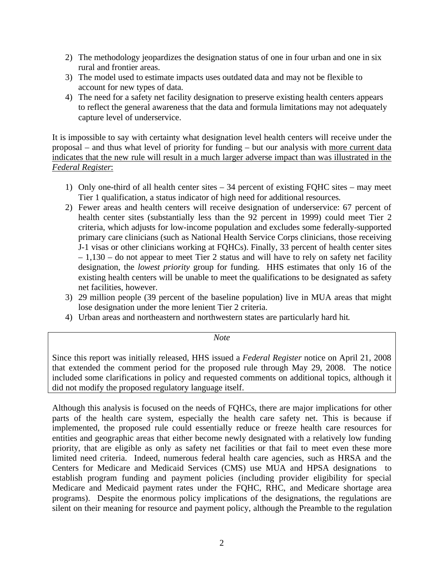- 2) The methodology jeopardizes the designation status of one in four urban and one in six rural and frontier areas.
- 3) The model used to estimate impacts uses outdated data and may not be flexible to account for new types of data.
- 4) The need for a safety net facility designation to preserve existing health centers appears to reflect the general awareness that the data and formula limitations may not adequately capture level of underservice.

It is impossible to say with certainty what designation level health centers will receive under the proposal – and thus what level of priority for funding – but our analysis with more current data indicates that the new rule will result in a much larger adverse impact than was illustrated in the *Federal Register*:

- 1) Only one-third of all health center sites 34 percent of existing FQHC sites may meet Tier 1 qualification, a status indicator of high need for additional resources.
- 2) Fewer areas and health centers will receive designation of underservice: 67 percent of health center sites (substantially less than the 92 percent in 1999) could meet Tier 2 criteria, which adjusts for low-income population and excludes some federally-supported primary care clinicians (such as National Health Service Corps clinicians, those receiving J-1 visas or other clinicians working at FQHCs). Finally, 33 percent of health center sites  $-1,130$  – do not appear to meet Tier 2 status and will have to rely on safety net facility designation, the *lowest priority* group for funding. HHS estimates that only 16 of the existing health centers will be unable to meet the qualifications to be designated as safety net facilities, however.
- 3) 29 million people (39 percent of the baseline population) live in MUA areas that might lose designation under the more lenient Tier 2 criteria.
- 4) Urban areas and northeastern and northwestern states are particularly hard hit.

*Note*

Since this report was initially released, HHS issued a *Federal Register* notice on April 21, 2008 that extended the comment period for the proposed rule through May 29, 2008. The notice included some clarifications in policy and requested comments on additional topics, although it did not modify the proposed regulatory language itself.

Although this analysis is focused on the needs of FQHCs, there are major implications for other parts of the health care system, especially the health care safety net. This is because if implemented, the proposed rule could essentially reduce or freeze health care resources for entities and geographic areas that either become newly designated with a relatively low funding priority, that are eligible as only as safety net facilities or that fail to meet even these more limited need criteria. Indeed, numerous federal health care agencies, such as HRSA and the Centers for Medicare and Medicaid Services (CMS) use MUA and HPSA designations to establish program funding and payment policies (including provider eligibility for special Medicare and Medicaid payment rates under the FQHC, RHC, and Medicare shortage area programs). Despite the enormous policy implications of the designations, the regulations are silent on their meaning for resource and payment policy, although the Preamble to the regulation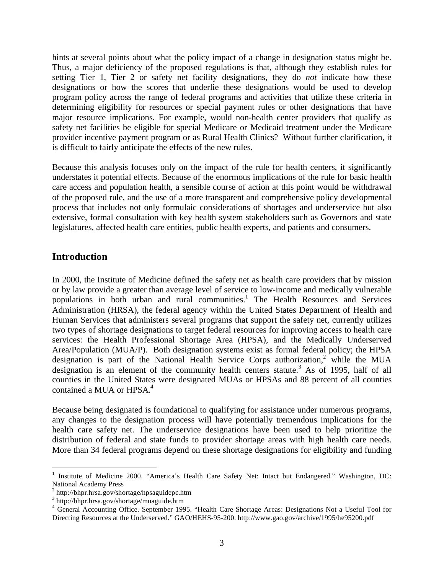hints at several points about what the policy impact of a change in designation status might be. Thus, a major deficiency of the proposed regulations is that, although they establish rules for setting Tier 1, Tier 2 or safety net facility designations, they do *not* indicate how these designations or how the scores that underlie these designations would be used to develop program policy across the range of federal programs and activities that utilize these criteria in determining eligibility for resources or special payment rules or other designations that have major resource implications. For example, would non-health center providers that qualify as safety net facilities be eligible for special Medicare or Medicaid treatment under the Medicare provider incentive payment program or as Rural Health Clinics? Without further clarification, it is difficult to fairly anticipate the effects of the new rules.

Because this analysis focuses only on the impact of the rule for health centers, it significantly understates it potential effects. Because of the enormous implications of the rule for basic health care access and population health, a sensible course of action at this point would be withdrawal of the proposed rule, and the use of a more transparent and comprehensive policy developmental process that includes not only formulaic considerations of shortages and underservice but also extensive, formal consultation with key health system stakeholders such as Governors and state legislatures, affected health care entities, public health experts, and patients and consumers.

#### **Introduction**

In 2000, the Institute of Medicine defined the safety net as health care providers that by mission or by law provide a greater than average level of service to low-income and medically vulnerable populations in both urban and rural communities.<sup>1</sup> The Health Resources and Services Administration (HRSA), the federal agency within the United States Department of Health and Human Services that administers several programs that support the safety net, currently utilizes two types of shortage designations to target federal resources for improving access to health care services: the Health Professional Shortage Area (HPSA), and the Medically Underserved Area/Population (MUA/P). Both designation systems exist as formal federal policy; the HPSA designation is part of the National Health Service Corps authorization,<sup>2</sup> while the MUA designation is an element of the community health centers statute.<sup>3</sup> As of 1995, half of all counties in the United States were designated MUAs or HPSAs and 88 percent of all counties contained a MUA or HPSA.<sup>4</sup>

Because being designated is foundational to qualifying for assistance under numerous programs, any changes to the designation process will have potentially tremendous implications for the health care safety net. The underservice designations have been used to help prioritize the distribution of federal and state funds to provider shortage areas with high health care needs. More than 34 federal programs depend on these shortage designations for eligibility and funding

 $\overline{a}$ <sup>1</sup> Institute of Medicine 2000. "America's Health Care Safety Net: Intact but Endangered." Washington, DC: National Academy Press

<sup>2</sup> http://bhpr.hrsa.gov/shortage/hpsaguidepc.htm

<sup>3</sup> http://bhpr.hrsa.gov/shortage/muaguide.htm

<sup>&</sup>lt;sup>4</sup> General Accounting Office. September 1995. "Health Care Shortage Areas: Designations Not a Useful Tool for Directing Resources at the Underserved." GAO/HEHS-95-200. http://www.gao.gov/archive/1995/he95200.pdf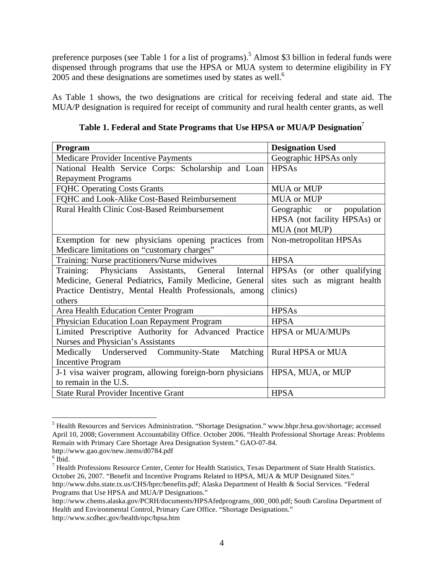preference purposes (see Table 1 for a list of programs).<sup>5</sup> Almost \$3 billion in federal funds were dispensed through programs that use the HPSA or MUA system to determine eligibility in FY  $2005$  and these designations are sometimes used by states as well.<sup>6</sup>

As Table 1 shows, the two designations are critical for receiving federal and state aid. The MUA/P designation is required for receipt of community and rural health center grants, as well

| Program                                                   | <b>Designation Used</b>               |  |  |
|-----------------------------------------------------------|---------------------------------------|--|--|
| Medicare Provider Incentive Payments                      | Geographic HPSAs only                 |  |  |
| National Health Service Corps: Scholarship and Loan       | <b>HPSAs</b>                          |  |  |
| <b>Repayment Programs</b>                                 |                                       |  |  |
| <b>FQHC Operating Costs Grants</b>                        | <b>MUA</b> or MUP                     |  |  |
| FQHC and Look-Alike Cost-Based Reimbursement              | <b>MUA</b> or MUP                     |  |  |
| <b>Rural Health Clinic Cost-Based Reimbursement</b>       | Geographic<br>population<br><b>or</b> |  |  |
|                                                           | HPSA (not facility HPSAs) or          |  |  |
|                                                           | MUA (not MUP)                         |  |  |
| Exemption for new physicians opening practices from       | Non-metropolitan HPSAs                |  |  |
| Medicare limitations on "customary charges"               |                                       |  |  |
| Training: Nurse practitioners/Nurse midwives              | <b>HPSA</b>                           |  |  |
| Physicians Assistants, General<br>Training:<br>Internal   | HPSAs (or other qualifying            |  |  |
| Medicine, General Pediatrics, Family Medicine, General    | sites such as migrant health          |  |  |
| Practice Dentistry, Mental Health Professionals, among    | clinics)                              |  |  |
| others                                                    |                                       |  |  |
| Area Health Education Center Program                      | <b>HPSAs</b>                          |  |  |
| Physician Education Loan Repayment Program                | <b>HPSA</b>                           |  |  |
| Limited Prescriptive Authority for Advanced Practice      | <b>HPSA</b> or MUA/MUPs               |  |  |
| Nurses and Physician's Assistants                         |                                       |  |  |
| Medically Underserved Community-State<br>Matching         | Rural HPSA or MUA                     |  |  |
| <b>Incentive Program</b>                                  |                                       |  |  |
| J-1 visa waiver program, allowing foreign-born physicians | HPSA, MUA, or MUP                     |  |  |
| to remain in the U.S.                                     |                                       |  |  |
| <b>State Rural Provider Incentive Grant</b>               | <b>HPSA</b>                           |  |  |

**Table 1. Federal and State Programs that Use HPSA or MUA/P Designation**<sup>7</sup>

 5 Health Resources and Services Administration. "Shortage Designation." www.bhpr.hrsa.gov/shortage; accessed April 10, 2008; Government Accountability Office. October 2006. "Health Professional Shortage Areas: Problems Remain with Primary Care Shortage Area Designation System." GAO-07-84. http://www.gao.gov/new.items/d0784.pdf

 $6$  Ibid.

 $^7$  Health Professions Resource Center, Center for Health Statistics, Texas Department of State Health Statistics. October 26, 2007. "Benefit and Incentive Programs Related to HPSA, MUA & MUP Designated Sites." http://www.dshs.state.tx.us/CHS/hprc/benefits.pdf; Alaska Department of Health & Social Services. "Federal Programs that Use HPSA and MUA/P Designations."

http://www.chems.alaska.gov/PCRH/documents/HPSAfedprograms\_000\_000.pdf; South Carolina Department of Health and Environmental Control, Primary Care Office. "Shortage Designations." http://www.scdhec.gov/health/opc/hpsa.htm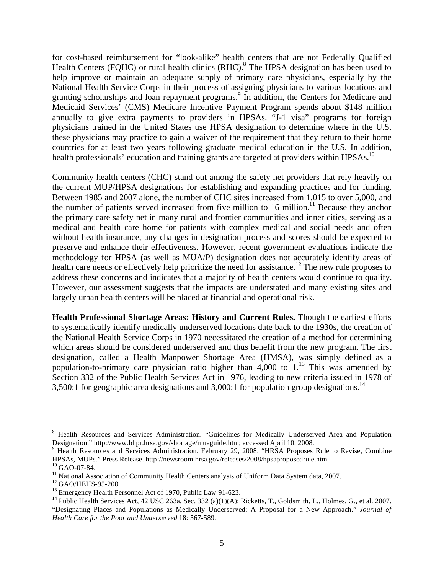for cost-based reimbursement for "look-alike" health centers that are not Federally Qualified Health Centers (FQHC) or rural health clinics  $(RHC)$ .<sup>8</sup> The HPSA designation has been used to help improve or maintain an adequate supply of primary care physicians, especially by the National Health Service Corps in their process of assigning physicians to various locations and granting scholarships and loan repayment programs.<sup>9</sup> In addition, the Centers for Medicare and Medicaid Services' (CMS) Medicare Incentive Payment Program spends about \$148 million annually to give extra payments to providers in HPSAs. "J-1 visa" programs for foreign physicians trained in the United States use HPSA designation to determine where in the U.S. these physicians may practice to gain a waiver of the requirement that they return to their home countries for at least two years following graduate medical education in the U.S. In addition, health professionals' education and training grants are targeted at providers within HPSAs.<sup>10</sup>

Community health centers (CHC) stand out among the safety net providers that rely heavily on the current MUP/HPSA designations for establishing and expanding practices and for funding. Between 1985 and 2007 alone, the number of CHC sites increased from 1,015 to over 5,000, and the number of patients served increased from five million to 16 million.<sup>11</sup> Because they anchor the primary care safety net in many rural and frontier communities and inner cities, serving as a medical and health care home for patients with complex medical and social needs and often without health insurance, any changes in designation process and scores should be expected to preserve and enhance their effectiveness. However, recent government evaluations indicate the methodology for HPSA (as well as MUA/P) designation does not accurately identify areas of health care needs or effectively help prioritize the need for assistance.<sup>12</sup> The new rule proposes to address these concerns and indicates that a majority of health centers would continue to qualify. However, our assessment suggests that the impacts are understated and many existing sites and largely urban health centers will be placed at financial and operational risk.

**Health Professional Shortage Areas: History and Current Rules.** Though the earliest efforts to systematically identify medically underserved locations date back to the 1930s, the creation of the National Health Service Corps in 1970 necessitated the creation of a method for determining which areas should be considered underserved and thus benefit from the new program. The first designation, called a Health Manpower Shortage Area (HMSA), was simply defined as a population-to-primary care physician ratio higher than 4,000 to  $1<sup>13</sup>$  This was amended by Section 332 of the Public Health Services Act in 1976, leading to new criteria issued in 1978 of 3,500:1 for geographic area designations and 3,000:1 for population group designations.<sup>14</sup>

<u>.</u>

<sup>8</sup> Health Resources and Services Administration. "Guidelines for Medically Underserved Area and Population Designation." http://www.bhpr.hrsa.gov/shortage/muaguide.htm; accessed April 10, 2008.

<sup>&</sup>lt;sup>9</sup> Health Resources and Services Administration. February 29, 2008. "HRSA Proposes Rule to Revise, Combine HPSAs, MUPs." Press Release. http://newsroom.hrsa.gov/releases/2008/hpsaproposedrule.htm  $10$  GAO-07-84.

<sup>&</sup>lt;sup>11</sup> National Association of Community Health Centers analysis of Uniform Data System data, 2007.

<sup>&</sup>lt;sup>12</sup> GAO/HEHS-95-200.

<sup>&</sup>lt;sup>13</sup> Emergency Health Personnel Act of 1970, Public Law 91-623.

<sup>&</sup>lt;sup>14</sup> Public Health Services Act, 42 USC 263a, Sec. 332 (a)(1)(A); Ricketts, T., Goldsmith, L., Holmes, G., et al. 2007. "Designating Places and Populations as Medically Underserved: A Proposal for a New Approach." *Journal of Health Care for the Poor and Underserved* 18: 567-589.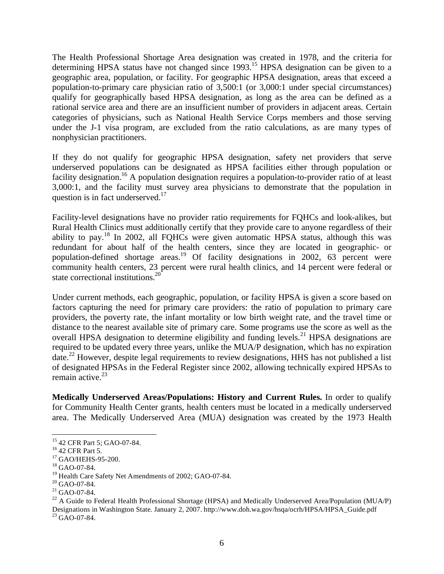The Health Professional Shortage Area designation was created in 1978, and the criteria for determining HPSA status have not changed since 1993.<sup>15</sup> HPSA designation can be given to a geographic area, population, or facility. For geographic HPSA designation, areas that exceed a population-to-primary care physician ratio of 3,500:1 (or 3,000:1 under special circumstances) qualify for geographically based HPSA designation, as long as the area can be defined as a rational service area and there are an insufficient number of providers in adjacent areas. Certain categories of physicians, such as National Health Service Corps members and those serving under the J-1 visa program, are excluded from the ratio calculations, as are many types of nonphysician practitioners.

If they do not qualify for geographic HPSA designation, safety net providers that serve underserved populations can be designated as HPSA facilities either through population or facility designation.<sup>16</sup> A population designation requires a population-to-provider ratio of at least 3,000:1, and the facility must survey area physicians to demonstrate that the population in question is in fact underserved.<sup>17</sup>

Facility-level designations have no provider ratio requirements for FQHCs and look-alikes, but Rural Health Clinics must additionally certify that they provide care to anyone regardless of their ability to pay.18 In 2002, all FQHCs were given automatic HPSA status, although this was redundant for about half of the health centers, since they are located in geographic- or population-defined shortage areas.<sup>19</sup> Of facility designations in 2002,  $63$  percent were community health centers, 23 percent were rural health clinics, and 14 percent were federal or state correctional institutions.<sup>20</sup>

Under current methods, each geographic, population, or facility HPSA is given a score based on factors capturing the need for primary care providers: the ratio of population to primary care providers, the poverty rate, the infant mortality or low birth weight rate, and the travel time or distance to the nearest available site of primary care. Some programs use the score as well as the overall HPSA designation to determine eligibility and funding levels.<sup>21</sup> HPSA designations are required to be updated every three years, unlike the MUA/P designation, which has no expiration date.<sup>22</sup> However, despite legal requirements to review designations, HHS has not published a list of designated HPSAs in the Federal Register since 2002, allowing technically expired HPSAs to remain active. $23$ 

**Medically Underserved Areas/Populations: History and Current Rules.** In order to qualify for Community Health Center grants, health centers must be located in a medically underserved area. The Medically Underserved Area (MUA) designation was created by the 1973 Health

<sup>22</sup> A Guide to Federal Health Professional Shortage (HPSA) and Medically Underserved Area/Population (MUA/P) Designations in Washington State. January 2, 2007. http://www.doh.wa.gov/hsqa/ocrh/HPSA/HPSA\_Guide.pdf  $^{23}$  GAO-07-84.

 $\overline{a}$ 15 42 CFR Part 5; GAO-07-84.

<sup>&</sup>lt;sup>16</sup> 42 CFR Part 5.

<sup>&</sup>lt;sup>17</sup> GAO/HEHS-95-200.

<sup>18</sup> GAO-07-84.

<sup>&</sup>lt;sup>19</sup> Health Care Safety Net Amendments of 2002; GAO-07-84.

<sup>&</sup>lt;sup>20</sup> GAO-07-84.

 $21$  GAO-07-84.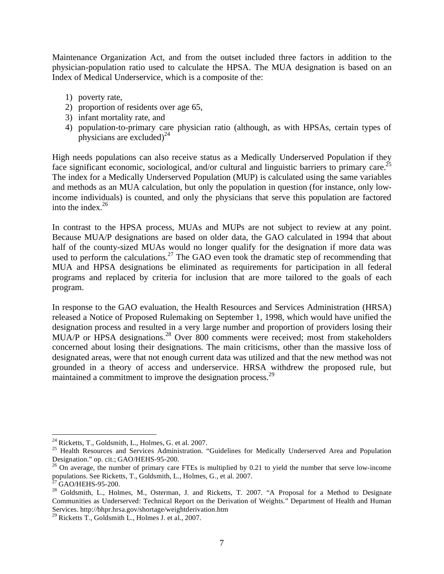Maintenance Organization Act, and from the outset included three factors in addition to the physician-population ratio used to calculate the HPSA. The MUA designation is based on an Index of Medical Underservice, which is a composite of the:

- 1) poverty rate,
- 2) proportion of residents over age 65,
- 3) infant mortality rate, and
- 4) population-to-primary care physician ratio (although, as with HPSAs, certain types of physicians are excluded)<sup>24</sup>

High needs populations can also receive status as a Medically Underserved Population if they face significant economic, sociological, and/or cultural and linguistic barriers to primary care.<sup>25</sup> The index for a Medically Underserved Population (MUP) is calculated using the same variables and methods as an MUA calculation, but only the population in question (for instance, only lowincome individuals) is counted, and only the physicians that serve this population are factored into the index. $26$ 

In contrast to the HPSA process, MUAs and MUPs are not subject to review at any point. Because MUA/P designations are based on older data, the GAO calculated in 1994 that about half of the county-sized MUAs would no longer qualify for the designation if more data was used to perform the calculations.<sup>27</sup> The GAO even took the dramatic step of recommending that MUA and HPSA designations be eliminated as requirements for participation in all federal programs and replaced by criteria for inclusion that are more tailored to the goals of each program.

In response to the GAO evaluation, the Health Resources and Services Administration (HRSA) released a Notice of Proposed Rulemaking on September 1, 1998, which would have unified the designation process and resulted in a very large number and proportion of providers losing their MUA/P or HPSA designations.<sup>28</sup> Over 800 comments were received; most from stakeholders concerned about losing their designations. The main criticisms, other than the massive loss of designated areas, were that not enough current data was utilized and that the new method was not grounded in a theory of access and underservice. HRSA withdrew the proposed rule, but maintained a commitment to improve the designation process.<sup>29</sup>

<u>.</u>

<sup>24</sup> Ricketts, T., Goldsmith, L., Holmes, G. et al. 2007.

<sup>&</sup>lt;sup>25</sup> Health Resources and Services Administration. "Guidelines for Medically Underserved Area and Population Designation." op. cit.; GAO/HEHS-95-200.

 $^{26}$  On average, the number of primary care FTEs is multiplied by 0.21 to yield the number that serve low-income populations. See Ricketts, T., Goldsmith, L., Holmes, G., et al. 2007.

GAO/HEHS-95-200.

<sup>&</sup>lt;sup>28</sup> Goldsmith, L., Holmes, M., Osterman, J. and Ricketts, T. 2007. "A Proposal for a Method to Designate Communities as Underserved: Technical Report on the Derivation of Weights." Department of Health and Human Services. http://bhpr.hrsa.gov/shortage/weightderivation.htm

 $^{29}$  Ricketts T., Goldsmith L., Holmes J. et al., 2007.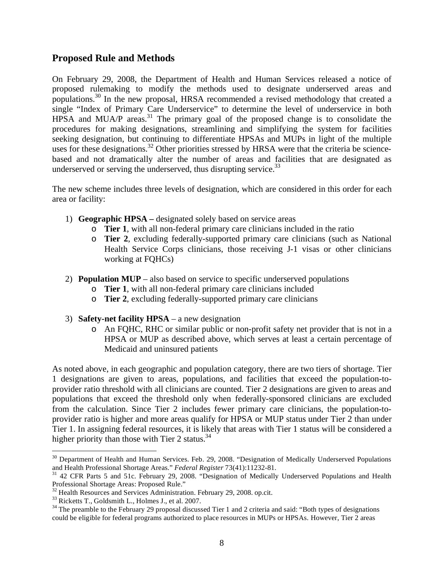#### **Proposed Rule and Methods**

On February 29, 2008, the Department of Health and Human Services released a notice of proposed rulemaking to modify the methods used to designate underserved areas and populations.30 In the new proposal, HRSA recommended a revised methodology that created a single "Index of Primary Care Underservice" to determine the level of underservice in both HPSA and MUA/P areas.<sup>31</sup> The primary goal of the proposed change is to consolidate the procedures for making designations, streamlining and simplifying the system for facilities seeking designation, but continuing to differentiate HPSAs and MUPs in light of the multiple uses for these designations.<sup>32</sup> Other priorities stressed by HRSA were that the criteria be sciencebased and not dramatically alter the number of areas and facilities that are designated as underserved or serving the underserved, thus disrupting service.  $33$ 

The new scheme includes three levels of designation, which are considered in this order for each area or facility:

- 1) **Geographic HPSA** designated solely based on service areas
	- o **Tier 1**, with all non-federal primary care clinicians included in the ratio
	- o **Tier 2**, excluding federally-supported primary care clinicians (such as National Health Service Corps clinicians, those receiving J-1 visas or other clinicians working at FQHCs)
- 2) **Population MUP** also based on service to specific underserved populations
	- o **Tier 1**, with all non-federal primary care clinicians included
	- o **Tier 2**, excluding federally-supported primary care clinicians
- 3) **Safety-net facility HPSA** a new designation
	- o An FQHC, RHC or similar public or non-profit safety net provider that is not in a HPSA or MUP as described above, which serves at least a certain percentage of Medicaid and uninsured patients

As noted above, in each geographic and population category, there are two tiers of shortage. Tier 1 designations are given to areas, populations, and facilities that exceed the population-toprovider ratio threshold with all clinicians are counted. Tier 2 designations are given to areas and populations that exceed the threshold only when federally-sponsored clinicians are excluded from the calculation. Since Tier 2 includes fewer primary care clinicians, the population-toprovider ratio is higher and more areas qualify for HPSA or MUP status under Tier 2 than under Tier 1. In assigning federal resources, it is likely that areas with Tier 1 status will be considered a higher priority than those with Tier 2 status. $34$ 

 $\overline{a}$ 

 $30$  Department of Health and Human Services. Feb. 29, 2008. "Designation of Medically Underserved Populations and Health Professional Shortage Areas." Federal Register 73(41):11232-81.

<sup>&</sup>lt;sup>31</sup> 42 CFR Parts 5 and 51c. February 29, 2008. "Designation of Medically Underserved Populations and Health Professional Shortage Areas: Proposed Rule."

<sup>&</sup>lt;sup>32</sup> Health Resources and Services Administration. February 29, 2008. op.cit.

<sup>33</sup> Ricketts T., Goldsmith L., Holmes J., et al. 2007.

 $34$  The preamble to the February 29 proposal discussed Tier 1 and 2 criteria and said: "Both types of designations could be eligible for federal programs authorized to place resources in MUPs or HPSAs. However, Tier 2 areas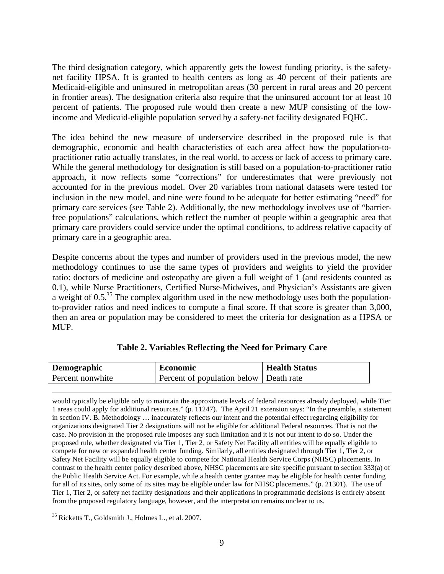The third designation category, which apparently gets the lowest funding priority, is the safetynet facility HPSA. It is granted to health centers as long as 40 percent of their patients are Medicaid-eligible and uninsured in metropolitan areas (30 percent in rural areas and 20 percent in frontier areas). The designation criteria also require that the uninsured account for at least 10 percent of patients. The proposed rule would then create a new MUP consisting of the lowincome and Medicaid-eligible population served by a safety-net facility designated FQHC.

The idea behind the new measure of underservice described in the proposed rule is that demographic, economic and health characteristics of each area affect how the population-topractitioner ratio actually translates, in the real world, to access or lack of access to primary care. While the general methodology for designation is still based on a population-to-practitioner ratio approach, it now reflects some "corrections" for underestimates that were previously not accounted for in the previous model. Over 20 variables from national datasets were tested for inclusion in the new model, and nine were found to be adequate for better estimating "need" for primary care services (see Table 2). Additionally, the new methodology involves use of "barrierfree populations" calculations, which reflect the number of people within a geographic area that primary care providers could service under the optimal conditions, to address relative capacity of primary care in a geographic area.

Despite concerns about the types and number of providers used in the previous model, the new methodology continues to use the same types of providers and weights to yield the provider ratio: doctors of medicine and osteopathy are given a full weight of 1 (and residents counted as 0.1), while Nurse Practitioners, Certified Nurse-Midwives, and Physician's Assistants are given a weight of  $0.5<sup>35</sup>$  The complex algorithm used in the new methodology uses both the populationto-provider ratios and need indices to compute a final score. If that score is greater than 3,000, then an area or population may be considered to meet the criteria for designation as a HPSA or MUP.

| Demographic      | <b>Economic</b>                        | <b>Health Status</b> |
|------------------|----------------------------------------|----------------------|
| Percent nonwhite | Percent of population below Death rate |                      |

|  |  | Table 2. Variables Reflecting the Need for Primary Care |  |
|--|--|---------------------------------------------------------|--|
|  |  |                                                         |  |

 would typically be eligible only to maintain the approximate levels of federal resources already deployed, while Tier 1 areas could apply for additional resources." (p. 11247). The April 21 extension says: "In the preamble, a statement in section IV. B. Methodology … inaccurately reflects our intent and the potential effect regarding eligibility for organizations designated Tier 2 designations will not be eligible for additional Federal resources. That is not the case. No provision in the proposed rule imposes any such limitation and it is not our intent to do so. Under the proposed rule, whether designated via Tier 1, Tier 2, or Safety Net Facility all entities will be equally eligible to compete for new or expanded health center funding. Similarly, all entities designated through Tier 1, Tier 2, or Safety Net Facility will be equally eligible to compete for National Health Service Corps (NHSC) placements. In contrast to the health center policy described above, NHSC placements are site specific pursuant to section 333(a) of the Public Health Service Act. For example, while a health center grantee may be eligible for health center funding for all of its sites, only some of its sites may be eligible under law for NHSC placements." (p. 21301). The use of Tier 1, Tier 2, or safety net facility designations and their applications in programmatic decisions is entirely absent from the proposed regulatory language, however, and the interpretation remains unclear to us.

35 Ricketts T., Goldsmith J., Holmes L., et al. 2007.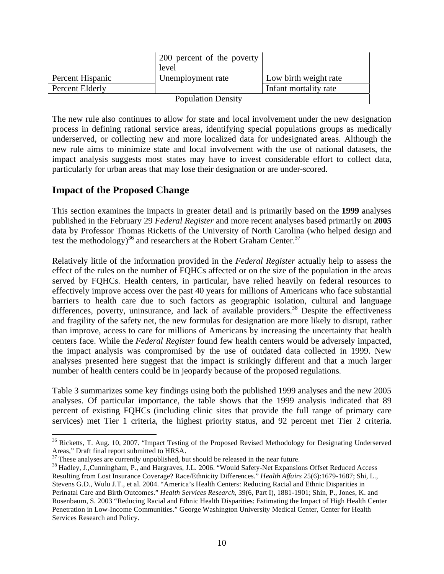|                  | 200 percent of the poverty<br>level |                       |
|------------------|-------------------------------------|-----------------------|
| Percent Hispanic | Unemployment rate                   | Low birth weight rate |
| Percent Elderly  |                                     | Infant mortality rate |
|                  | <b>Population Density</b>           |                       |

The new rule also continues to allow for state and local involvement under the new designation process in defining rational service areas, identifying special populations groups as medically underserved, or collecting new and more localized data for undesignated areas. Although the new rule aims to minimize state and local involvement with the use of national datasets, the impact analysis suggests most states may have to invest considerable effort to collect data, particularly for urban areas that may lose their designation or are under-scored.

#### **Impact of the Proposed Change**

 $\overline{a}$ 

This section examines the impacts in greater detail and is primarily based on the **1999** analyses published in the February 29 *Federal Register* and more recent analyses based primarily on **2005**  data by Professor Thomas Ricketts of the University of North Carolina (who helped design and test the methodology)<sup>36</sup> and researchers at the Robert Graham Center.<sup>37</sup>

Relatively little of the information provided in the *Federal Register* actually help to assess the effect of the rules on the number of FQHCs affected or on the size of the population in the areas served by FQHCs. Health centers, in particular, have relied heavily on federal resources to effectively improve access over the past 40 years for millions of Americans who face substantial barriers to health care due to such factors as geographic isolation, cultural and language differences, poverty, uninsurance, and lack of available providers.<sup>38</sup> Despite the effectiveness and fragility of the safety net, the new formulas for designation are more likely to disrupt, rather than improve, access to care for millions of Americans by increasing the uncertainty that health centers face. While the *Federal Register* found few health centers would be adversely impacted, the impact analysis was compromised by the use of outdated data collected in 1999. New analyses presented here suggest that the impact is strikingly different and that a much larger number of health centers could be in jeopardy because of the proposed regulations.

Table 3 summarizes some key findings using both the published 1999 analyses and the new 2005 analyses. Of particular importance, the table shows that the 1999 analysis indicated that 89 percent of existing FQHCs (including clinic sites that provide the full range of primary care services) met Tier 1 criteria, the highest priority status, and 92 percent met Tier 2 criteria.

<sup>&</sup>lt;sup>36</sup> Ricketts, T. Aug. 10, 2007. "Impact Testing of the Proposed Revised Methodology for Designating Underserved Areas," Draft final report submitted to HRSA.

 $37$  These analyses are currently unpublished, but should be released in the near future.

<sup>38</sup> Hadley, J.,Cunningham, P., and Hargraves, J.L. 2006. "Would Safety-Net Expansions Offset Reduced Access Resulting from Lost Insurance Coverage? Race/Ethnicity Differences." *Health Affairs* 25(6):1679-1687; Shi, L., Stevens G.D., Wulu J.T., et al. 2004. "America's Health Centers: Reducing Racial and Ethnic Disparities in Perinatal Care and Birth Outcomes." *Health Services Research*, 39(6, Part I), 1881-1901; Shin, P., Jones, K. and Rosenbaum, S. 2003 "Reducing Racial and Ethnic Health Disparities: Estimating the Impact of High Health Center Penetration in Low-Income Communities." George Washington University Medical Center, Center for Health Services Research and Policy.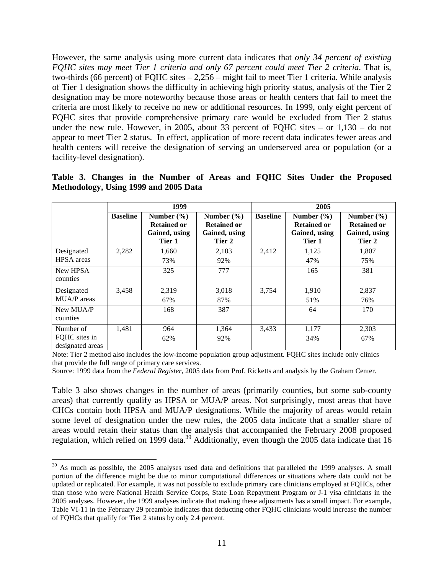However, the same analysis using more current data indicates that *only 34 percent of existing FQHC sites may meet Tier 1 criteria and only 67 percent could meet Tier 2 criteria*. That is, two-thirds (66 percent) of FQHC sites – 2,256 – might fail to meet Tier 1 criteria. While analysis of Tier 1 designation shows the difficulty in achieving high priority status, analysis of the Tier 2 designation may be more noteworthy because those areas or health centers that fail to meet the criteria are most likely to receive no new or additional resources. In 1999, only eight percent of FQHC sites that provide comprehensive primary care would be excluded from Tier 2 status under the new rule. However, in 2005, about 33 percent of FQHC sites – or 1,130 – do not appear to meet Tier 2 status. In effect, application of more recent data indicates fewer areas and health centers will receive the designation of serving an underserved area or population (or a facility-level designation).

|                                                |                 | 1999                                                            |                                                                 | 2005            |                                                                 |                                                                 |  |  |
|------------------------------------------------|-----------------|-----------------------------------------------------------------|-----------------------------------------------------------------|-----------------|-----------------------------------------------------------------|-----------------------------------------------------------------|--|--|
|                                                | <b>Baseline</b> | Number $(\% )$<br><b>Retained or</b><br>Gained, using<br>Tier 1 | Number $(\% )$<br><b>Retained or</b><br>Gained, using<br>Tier 2 | <b>Baseline</b> | Number $(\% )$<br><b>Retained or</b><br>Gained, using<br>Tier 1 | Number $(\% )$<br><b>Retained or</b><br>Gained, using<br>Tier 2 |  |  |
| Designated<br><b>HPSA</b> areas                | 2,282           | 1,660<br>73%                                                    | 2,103<br>92%                                                    | 2.412           | 1,125<br>47%                                                    | 1,807<br>75%                                                    |  |  |
| New HPSA<br>counties                           |                 | 325                                                             | 777                                                             |                 | 165                                                             | 381                                                             |  |  |
| Designated<br>MUA/P areas                      | 3,458           | 2,319<br>67%                                                    | 3,018<br>87%                                                    | 3,754           | 1,910<br>51%                                                    | 2,837<br>76%                                                    |  |  |
| New MUA/P<br>counties                          |                 | 168                                                             | 387                                                             |                 | 64                                                              | 170                                                             |  |  |
| Number of<br>FQHC sites in<br>designated areas | 1,481           | 964<br>62%                                                      | 1,364<br>92%                                                    | 3,433           | 1,177<br>34%                                                    | 2,303<br>67%                                                    |  |  |

|  |                                       |  |  |  |  |  | Table 3. Changes in the Number of Areas and FQHC Sites Under the Proposed |
|--|---------------------------------------|--|--|--|--|--|---------------------------------------------------------------------------|
|  | Methodology, Using 1999 and 2005 Data |  |  |  |  |  |                                                                           |

Note: Tier 2 method also includes the low-income population group adjustment. FQHC sites include only clinics that provide the full range of primary care services.

Source: 1999 data from the *Federal Register*, 2005 data from Prof. Ricketts and analysis by the Graham Center.

Table 3 also shows changes in the number of areas (primarily counties, but some sub-county areas) that currently qualify as HPSA or MUA/P areas. Not surprisingly, most areas that have CHCs contain both HPSA and MUA/P designations. While the majority of areas would retain some level of designation under the new rules, the 2005 data indicate that a smaller share of areas would retain their status than the analysis that accompanied the February 2008 proposed regulation, which relied on 1999 data.<sup>39</sup> Additionally, even though the 2005 data indicate that 16

 $\overline{a}$ 

<sup>&</sup>lt;sup>39</sup> As much as possible, the 2005 analyses used data and definitions that paralleled the 1999 analyses. A small portion of the difference might be due to minor computational differences or situations where data could not be updated or replicated. For example, it was not possible to exclude primary care clinicians employed at FQHCs, other than those who were National Health Service Corps, State Loan Repayment Program or J-1 visa clinicians in the 2005 analyses. However, the 1999 analyses indicate that making these adjustments has a small impact. For example, Table VI-11 in the February 29 preamble indicates that deducting other FQHC clinicians would increase the number of FQHCs that qualify for Tier 2 status by only 2.4 percent.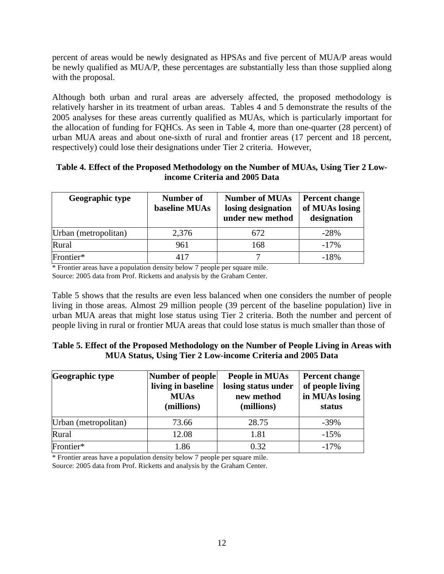percent of areas would be newly designated as HPSAs and five percent of MUA/P areas would be newly qualified as MUA/P, these percentages are substantially less than those supplied along with the proposal.

Although both urban and rural areas are adversely affected, the proposed methodology is relatively harsher in its treatment of urban areas. Tables 4 and 5 demonstrate the results of the 2005 analyses for these areas currently qualified as MUAs, which is particularly important for the allocation of funding for FQHCs. As seen in Table 4, more than one-quarter (28 percent) of urban MUA areas and about one-sixth of rural and frontier areas (17 percent and 18 percent, respectively) could lose their designations under Tier 2 criteria. However,

|                               | Table 4. Effect of the Proposed Methodology on the Number of MUAs, Using Tier 2 Low- |
|-------------------------------|--------------------------------------------------------------------------------------|
| income Criteria and 2005 Data |                                                                                      |

| Geographic type      | Number of<br>baseline MUAs | <b>Number of MUAs</b><br>losing designation<br>under new method | Percent change<br>of MUAs losing<br>designation |
|----------------------|----------------------------|-----------------------------------------------------------------|-------------------------------------------------|
| Urban (metropolitan) | 2,376                      | 672                                                             | $-28%$                                          |
| Rural                | 961                        | 168                                                             | $-17%$                                          |
| Frontier*            | 417                        |                                                                 | $-18%$                                          |

\* Frontier areas have a population density below 7 people per square mile. Source: 2005 data from Prof. Ricketts and analysis by the Graham Center.

Table 5 shows that the results are even less balanced when one considers the number of people living in those areas. Almost 29 million people (39 percent of the baseline population) live in urban MUA areas that might lose status using Tier 2 criteria. Both the number and percent of people living in rural or frontier MUA areas that could lose status is much smaller than those of

| Table 5. Effect of the Proposed Methodology on the Number of People Living in Areas with |
|------------------------------------------------------------------------------------------|
| MUA Status, Using Tier 2 Low-income Criteria and 2005 Data                               |

| Geographic type      | Number of people<br>living in baseline<br><b>MUAs</b><br>(millions) | People in MUAs<br>losing status under<br>new method<br>(millions) | <b>Percent change</b><br>of people living<br>in MUAs losing<br>status |  |
|----------------------|---------------------------------------------------------------------|-------------------------------------------------------------------|-----------------------------------------------------------------------|--|
| Urban (metropolitan) | 73.66                                                               | 28.75                                                             | $-39%$                                                                |  |
| Rural                | 12.08                                                               | 1.81                                                              | $-15%$                                                                |  |
| Frontier*            | 1.86                                                                | 0.32                                                              | $-17%$                                                                |  |

\* Frontier areas have a population density below 7 people per square mile.

Source: 2005 data from Prof. Ricketts and analysis by the Graham Center.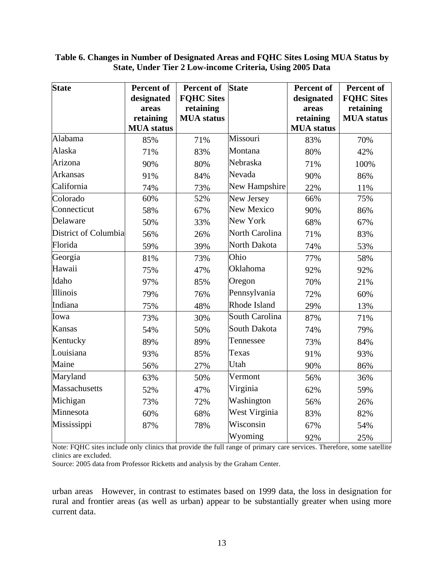| <b>State</b>         | Percent of        | <b>Percent of</b> | <b>State</b>          | <b>Percent of</b> | <b>Percent of</b> |
|----------------------|-------------------|-------------------|-----------------------|-------------------|-------------------|
|                      | designated        | <b>FQHC Sites</b> |                       | designated        | <b>FQHC Sites</b> |
|                      | areas             | retaining         |                       | areas             | retaining         |
|                      | retaining         | <b>MUA</b> status |                       | retaining         | <b>MUA</b> status |
|                      | <b>MUA</b> status |                   |                       | <b>MUA</b> status |                   |
| Alabama              | 85%               | 71%               | Missouri              | 83%               | 70%               |
| Alaska               | 71%               | 83%               | Montana               | 80%               | 42%               |
| Arizona              | 90%               | 80%               | Nebraska              | 71%               | 100%              |
| <b>Arkansas</b>      | 91%               | 84%               | Nevada                | 90%               | 86%               |
| California           | 74%               | 73%               | New Hampshire         | 22%               | 11%               |
| Colorado             | 60%               | 52%               | New Jersey            | 66%               | 75%               |
| Connecticut          | 58%               | 67%               | New Mexico            | 90%               | 86%               |
| Delaware             | 50%               | 33%               | New York              | 68%               | 67%               |
| District of Columbia | 56%               | 26%               | <b>North Carolina</b> | 71%               | 83%               |
| Florida              | 59%               | 39%               | North Dakota          | 74%               | 53%               |
| Georgia              | 81%               | 73%               | Ohio                  | 77%               | 58%               |
| Hawaii               | 75%               | 47%               | Oklahoma              | 92%               | 92%               |
| Idaho                | 97%               | 85%               | Oregon                | 70%               | 21%               |
| Illinois             | 79%               | 76%               | Pennsylvania          | 72%               | 60%               |
| Indiana              | 75%               | 48%               | Rhode Island          | 29%               | 13%               |
| Iowa                 | 73%               | 30%               | South Carolina        | 87%               | 71%               |
| <b>Kansas</b>        | 54%               | 50%               | South Dakota          | 74%               | 79%               |
| Kentucky             | 89%               | 89%               | Tennessee             | 73%               | 84%               |
| Louisiana            | 93%               | 85%               | Texas                 | 91%               | 93%               |
| Maine                | 56%               | 27%               | Utah                  | 90%               | 86%               |
| Maryland             | 63%               | 50%               | Vermont               | 56%               | 36%               |
| Massachusetts        | 52%               | 47%               | Virginia              | 62%               | 59%               |
| Michigan             | 73%               | 72%               | Washington            | 56%               | 26%               |
| Minnesota            | 60%               | 68%               | West Virginia         | 83%               | 82%               |
| Mississippi          | 87%               | 78%               | Wisconsin             | 67%               | 54%               |
|                      |                   |                   | Wyoming               | 92%               | 25%               |

**Table 6. Changes in Number of Designated Areas and FQHC Sites Losing MUA Status by State, Under Tier 2 Low-income Criteria, Using 2005 Data** 

Note: FQHC sites include only clinics that provide the full range of primary care services. Therefore, some satellite clinics are excluded.

Source: 2005 data from Professor Ricketts and analysis by the Graham Center.

urban areas However, in contrast to estimates based on 1999 data, the loss in designation for rural and frontier areas (as well as urban) appear to be substantially greater when using more current data.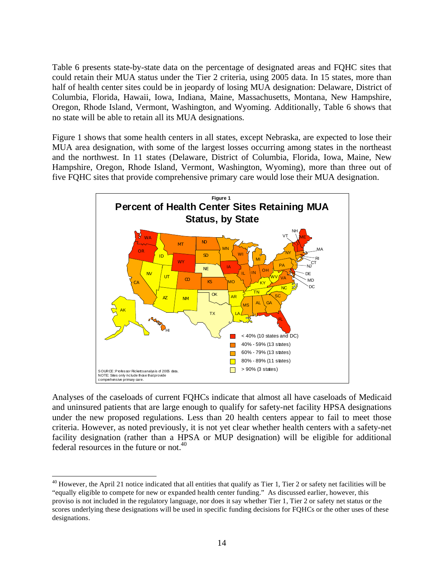Table 6 presents state-by-state data on the percentage of designated areas and FQHC sites that could retain their MUA status under the Tier 2 criteria, using 2005 data. In 15 states, more than half of health center sites could be in jeopardy of losing MUA designation: Delaware, District of Columbia, Florida, Hawaii, Iowa, Indiana, Maine, Massachusetts, Montana, New Hampshire, Oregon, Rhode Island, Vermont, Washington, and Wyoming. Additionally, Table 6 shows that no state will be able to retain all its MUA designations.

Figure 1 shows that some health centers in all states, except Nebraska, are expected to lose their MUA area designation, with some of the largest losses occurring among states in the northeast and the northwest. In 11 states (Delaware, District of Columbia, Florida, Iowa, Maine, New Hampshire, Oregon, Rhode Island, Vermont, Washington, Wyoming), more than three out of five FQHC sites that provide comprehensive primary care would lose their MUA designation.



Analyses of the caseloads of current FQHCs indicate that almost all have caseloads of Medicaid and uninsured patients that are large enough to qualify for safety-net facility HPSA designations under the new proposed regulations. Less than 20 health centers appear to fail to meet those criteria. However, as noted previously, it is not yet clear whether health centers with a safety-net facility designation (rather than a HPSA or MUP designation) will be eligible for additional federal resources in the future or not.<sup>40</sup>

<sup>1</sup>  $40$  However, the April 21 notice indicated that all entities that qualify as Tier 1, Tier 2 or safety net facilities will be "equally eligible to compete for new or expanded health center funding." As discussed earlier, however, this proviso is not included in the regulatory language, nor does it say whether Tier 1, Tier 2 or safety net status or the scores underlying these designations will be used in specific funding decisions for FQHCs or the other uses of these designations.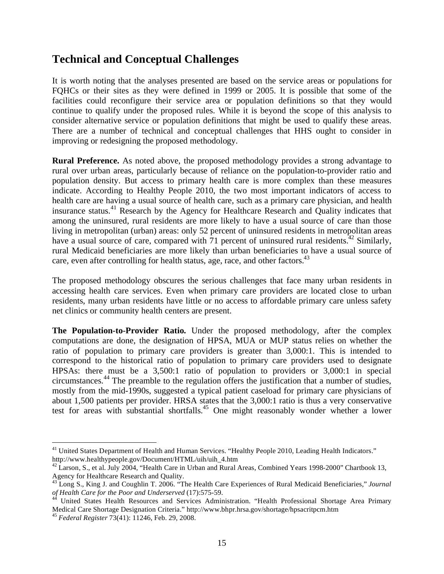## **Technical and Conceptual Challenges**

It is worth noting that the analyses presented are based on the service areas or populations for FQHCs or their sites as they were defined in 1999 or 2005. It is possible that some of the facilities could reconfigure their service area or population definitions so that they would continue to qualify under the proposed rules. While it is beyond the scope of this analysis to consider alternative service or population definitions that might be used to qualify these areas. There are a number of technical and conceptual challenges that HHS ought to consider in improving or redesigning the proposed methodology.

**Rural Preference.** As noted above, the proposed methodology provides a strong advantage to rural over urban areas, particularly because of reliance on the population-to-provider ratio and population density. But access to primary health care is more complex than these measures indicate. According to Healthy People 2010, the two most important indicators of access to health care are having a usual source of health care, such as a primary care physician, and health insurance status.<sup>41</sup> Research by the Agency for Healthcare Research and Quality indicates that among the uninsured, rural residents are more likely to have a usual source of care than those living in metropolitan (urban) areas: only 52 percent of uninsured residents in metropolitan areas have a usual source of care, compared with  $\overline{71}$  percent of uninsured rural residents.<sup>42</sup> Similarly, rural Medicaid beneficiaries are more likely than urban beneficiaries to have a usual source of care, even after controlling for health status, age, race, and other factors.  $43$ 

The proposed methodology obscures the serious challenges that face many urban residents in accessing health care services. Even when primary care providers are located close to urban residents, many urban residents have little or no access to affordable primary care unless safety net clinics or community health centers are present.

**The Population-to-Provider Ratio.** Under the proposed methodology, after the complex computations are done, the designation of HPSA, MUA or MUP status relies on whether the ratio of population to primary care providers is greater than 3,000:1. This is intended to correspond to the historical ratio of population to primary care providers used to designate HPSAs: there must be a 3,500:1 ratio of population to providers or 3,000:1 in special circumstances.44 The preamble to the regulation offers the justification that a number of studies, mostly from the mid-1990s, suggested a typical patient caseload for primary care physicians of about 1,500 patients per provider. HRSA states that the 3,000:1 ratio is thus a very conservative test for areas with substantial shortfalls.45 One might reasonably wonder whether a lower

 $\overline{a}$ 

<sup>&</sup>lt;sup>41</sup> United States Department of Health and Human Services. "Healthy People 2010, Leading Health Indicators." http://www.healthypeople.gov/Document/HTML/uih/uih\_4.htm

<sup>&</sup>lt;sup>42</sup> Larson, S., et al. July 2004, "Health Care in Urban and Rural Areas, Combined Years 1998-2000" Chartbook 13, Agency for Healthcare Research and Quality.

<sup>43</sup> Long S., King J. and Coughlin T. 2006. "The Health Care Experiences of Rural Medicaid Beneficiaries," *Journal of Health Care for the Poor and Underserved* (17):575-59. 44 United States Health Resources and Services Administration. "Health Professional Shortage Area Primary

Medical Care Shortage Designation Criteria." http://www.bhpr.hrsa.gov/shortage/hpsacritpcm.htm

<sup>45</sup> *Federal Register* 73(41): 11246, Feb. 29, 2008.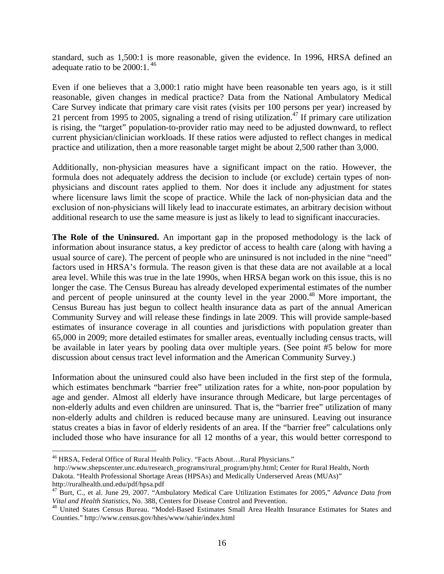standard, such as 1,500:1 is more reasonable, given the evidence. In 1996, HRSA defined an adequate ratio to be  $2000:1.^{46}$ 

Even if one believes that a 3,000:1 ratio might have been reasonable ten years ago, is it still reasonable, given changes in medical practice? Data from the National Ambulatory Medical Care Survey indicate that primary care visit rates (visits per 100 persons per year) increased by 21 percent from 1995 to 2005, signaling a trend of rising utilization.<sup>47</sup> If primary care utilization is rising, the "target" population-to-provider ratio may need to be adjusted downward, to reflect current physician/clinician workloads. If these ratios were adjusted to reflect changes in medical practice and utilization, then a more reasonable target might be about 2,500 rather than 3,000.

Additionally, non-physician measures have a significant impact on the ratio. However, the formula does not adequately address the decision to include (or exclude) certain types of nonphysicians and discount rates applied to them. Nor does it include any adjustment for states where licensure laws limit the scope of practice. While the lack of non-physician data and the exclusion of non-physicians will likely lead to inaccurate estimates, an arbitrary decision without additional research to use the same measure is just as likely to lead to significant inaccuracies.

**The Role of the Uninsured.** An important gap in the proposed methodology is the lack of information about insurance status, a key predictor of access to health care (along with having a usual source of care). The percent of people who are uninsured is not included in the nine "need" factors used in HRSA's formula. The reason given is that these data are not available at a local area level. While this was true in the late 1990s, when HRSA began work on this issue, this is no longer the case. The Census Bureau has already developed experimental estimates of the number and percent of people uninsured at the county level in the year 2000.<sup>48</sup> More important, the Census Bureau has just begun to collect health insurance data as part of the annual American Community Survey and will release these findings in late 2009. This will provide sample-based estimates of insurance coverage in all counties and jurisdictions with population greater than 65,000 in 2009; more detailed estimates for smaller areas, eventually including census tracts, will be available in later years by pooling data over multiple years. (See point #5 below for more discussion about census tract level information and the American Community Survey.)

Information about the uninsured could also have been included in the first step of the formula, which estimates benchmark "barrier free" utilization rates for a white, non-poor population by age and gender. Almost all elderly have insurance through Medicare, but large percentages of non-elderly adults and even children are uninsured. That is, the "barrier free" utilization of many non-elderly adults and children is reduced because many are uninsured. Leaving out insurance status creates a bias in favor of elderly residents of an area. If the "barrier free" calculations only included those who have insurance for all 12 months of a year, this would better correspond to

1

<sup>&</sup>lt;sup>46</sup> HRSA, Federal Office of Rural Health Policy. "Facts About...Rural Physicians."

http://www.shepscenter.unc.edu/research\_programs/rural\_program/phy.html; Center for Rural Health, North Dakota. "Health Professional Shortage Areas (HPSAs) and Medically Underserved Areas (MUAs)" http://ruralhealth.und.edu/pdf/hpsa.pdf

<sup>&</sup>lt;sup>47</sup> Burt, C., et al. June 29, 2007. "Ambulatory Medical Care Utilization Estimates for 2005," *Advance Data from Vital and Health Statistics*, No. 388, Centers for Disease Control and Prevention.

<sup>&</sup>lt;sup>48</sup> United States Census Bureau. "Model-Based Estimates Small Area Health Insurance Estimates for States and Counties." http://www.census.gov/hhes/www/sahie/index.html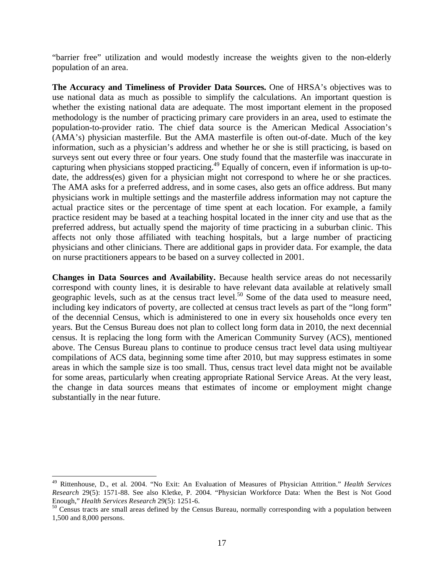"barrier free" utilization and would modestly increase the weights given to the non-elderly population of an area.

**The Accuracy and Timeliness of Provider Data Sources.** One of HRSA's objectives was to use national data as much as possible to simplify the calculations. An important question is whether the existing national data are adequate. The most important element in the proposed methodology is the number of practicing primary care providers in an area, used to estimate the population-to-provider ratio. The chief data source is the American Medical Association's (AMA's) physician masterfile. But the AMA masterfile is often out-of-date. Much of the key information, such as a physician's address and whether he or she is still practicing, is based on surveys sent out every three or four years. One study found that the masterfile was inaccurate in capturing when physicians stopped practicing.49 Equally of concern, even if information is up-todate, the address(es) given for a physician might not correspond to where he or she practices. The AMA asks for a preferred address, and in some cases, also gets an office address. But many physicians work in multiple settings and the masterfile address information may not capture the actual practice sites or the percentage of time spent at each location. For example, a family practice resident may be based at a teaching hospital located in the inner city and use that as the preferred address, but actually spend the majority of time practicing in a suburban clinic. This affects not only those affiliated with teaching hospitals, but a large number of practicing physicians and other clinicians. There are additional gaps in provider data. For example, the data on nurse practitioners appears to be based on a survey collected in 2001.

**Changes in Data Sources and Availability.** Because health service areas do not necessarily correspond with county lines, it is desirable to have relevant data available at relatively small geographic levels, such as at the census tract level.<sup>50</sup> Some of the data used to measure need, including key indicators of poverty, are collected at census tract levels as part of the "long form" of the decennial Census, which is administered to one in every six households once every ten years. But the Census Bureau does not plan to collect long form data in 2010, the next decennial census. It is replacing the long form with the American Community Survey (ACS), mentioned above. The Census Bureau plans to continue to produce census tract level data using multiyear compilations of ACS data, beginning some time after 2010, but may suppress estimates in some areas in which the sample size is too small. Thus, census tract level data might not be available for some areas, particularly when creating appropriate Rational Service Areas. At the very least, the change in data sources means that estimates of income or employment might change substantially in the near future.

1

<sup>49</sup> Rittenhouse, D., et al. 2004. "No Exit: An Evaluation of Measures of Physician Attrition." *Health Services Research* 29(5): 1571-88. See also Kletke, P. 2004. "Physician Workforce Data: When the Best is Not Good Enough," *Health Services Research* 29(5): 1251-6.<br><sup>50</sup> Census tracts are small areas defined by the Census Bureau, normally corresponding with a population between

<sup>1,500</sup> and 8,000 persons.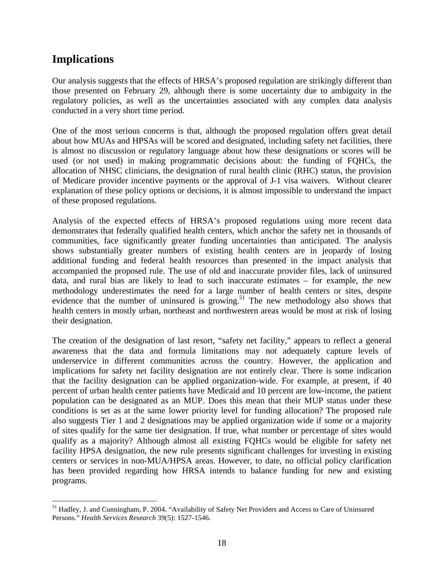# **Implications**

Our analysis suggests that the effects of HRSA's proposed regulation are strikingly different than those presented on February 29, although there is some uncertainty due to ambiguity in the regulatory policies, as well as the uncertainties associated with any complex data analysis conducted in a very short time period.

One of the most serious concerns is that, although the proposed regulation offers great detail about how MUAs and HPSAs will be scored and designated, including safety net facilities, there is almost no discussion or regulatory language about how these designations or scores will be used (or not used) in making programmatic decisions about: the funding of FQHCs, the allocation of NHSC clinicians, the designation of rural health clinic (RHC) status, the provision of Medicare provider incentive payments or the approval of J-1 visa waivers. Without clearer explanation of these policy options or decisions, it is almost impossible to understand the impact of these proposed regulations.

Analysis of the expected effects of HRSA's proposed regulations using more recent data demonstrates that federally qualified health centers, which anchor the safety net in thousands of communities, face significantly greater funding uncertainties than anticipated. The analysis shows substantially greater numbers of existing health centers are in jeopardy of losing additional funding and federal health resources than presented in the impact analysis that accompanied the proposed rule. The use of old and inaccurate provider files, lack of uninsured data, and rural bias are likely to lead to such inaccurate estimates – for example, the new methodology underestimates the need for a large number of health centers or sites, despite evidence that the number of uninsured is growing.<sup>51</sup> The new methodology also shows that health centers in mostly urban, northeast and northwestern areas would be most at risk of losing their designation.

The creation of the designation of last resort, "safety net facility," appears to reflect a general awareness that the data and formula limitations may not adequately capture levels of underservice in different communities across the country. However, the application and implications for safety net facility designation are not entirely clear. There is some indication that the facility designation can be applied organization-wide. For example, at present, if 40 percent of urban health center patients have Medicaid and 10 percent are low-income, the patient population can be designated as an MUP. Does this mean that their MUP status under these conditions is set as at the same lower priority level for funding allocation? The proposed rule also suggests Tier 1 and 2 designations may be applied organization wide if some or a majority of sites qualify for the same tier designation. If true, what number or percentage of sites would qualify as a majority? Although almost all existing FQHCs would be eligible for safety net facility HPSA designation, the new rule presents significant challenges for investing in existing centers or services in non-MUA/HPSA areas. However, to date, no official policy clarification has been provided regarding how HRSA intends to balance funding for new and existing programs.

 $\overline{a}$ <sup>51</sup> Hadley, J. and Cunningham, P. 2004. "Availability of Safety Net Providers and Access to Care of Uninsured Persons." *Health Services Research* 39(5): 1527-1546.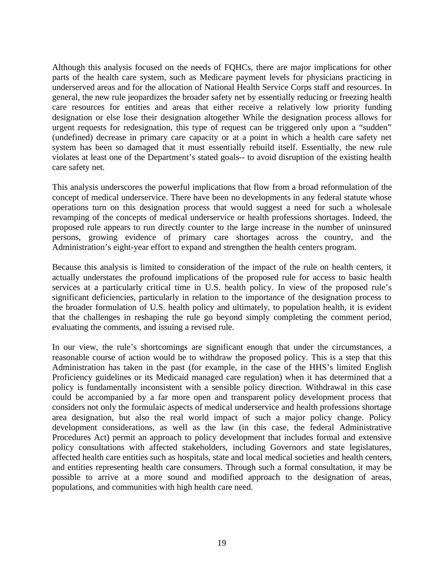Although this analysis focused on the needs of FQHCs, there are major implications for other parts of the health care system, such as Medicare payment levels for physicians practicing in underserved areas and for the allocation of National Health Service Corps staff and resources. In general, the new rule jeopardizes the broader safety net by essentially reducing or freezing health care resources for entities and areas that either receive a relatively low priority funding designation or else lose their designation altogether While the designation process allows for urgent requests for redesignation, this type of request can be triggered only upon a "sudden" (undefined) decrease in primary care capacity or at a point in which a health care safety net system has been so damaged that it must essentially rebuild itself. Essentially, the new rule violates at least one of the Department's stated goals-- to avoid disruption of the existing health care safety net.

This analysis underscores the powerful implications that flow from a broad reformulation of the concept of medical underservice. There have been no developments in any federal statute whose operations turn on this designation process that would suggest a need for such a wholesale revamping of the concepts of medical underservice or health professions shortages. Indeed, the proposed rule appears to run directly counter to the large increase in the number of uninsured persons, growing evidence of primary care shortages across the country, and the Administration's eight-year effort to expand and strengthen the health centers program.

Because this analysis is limited to consideration of the impact of the rule on health centers, it actually understates the profound implications of the proposed rule for access to basic health services at a particularly critical time in U.S. health policy. In view of the proposed rule's significant deficiencies, particularly in relation to the importance of the designation process to the broader formulation of U.S. health policy and ultimately, to population health, it is evident that the challenges in reshaping the rule go beyond simply completing the comment period, evaluating the comments, and issuing a revised rule.

In our view, the rule's shortcomings are significant enough that under the circumstances, a reasonable course of action would be to withdraw the proposed policy. This is a step that this Administration has taken in the past (for example, in the case of the HHS's limited English Proficiency guidelines or its Medicaid managed care regulation) when it has determined that a policy is fundamentally inconsistent with a sensible policy direction. Withdrawal in this case could be accompanied by a far more open and transparent policy development process that considers not only the formulaic aspects of medical underservice and health professions shortage area designation, but also the real world impact of such a major policy change. Policy development considerations, as well as the law (in this case, the federal Administrative Procedures Act) permit an approach to policy development that includes formal and extensive policy consultations with affected stakeholders, including Governors and state legislatures, affected health care entities such as hospitals, state and local medical societies and health centers, and entities representing health care consumers. Through such a formal consultation, it may be possible to arrive at a more sound and modified approach to the designation of areas, populations, and communities with high health care need.